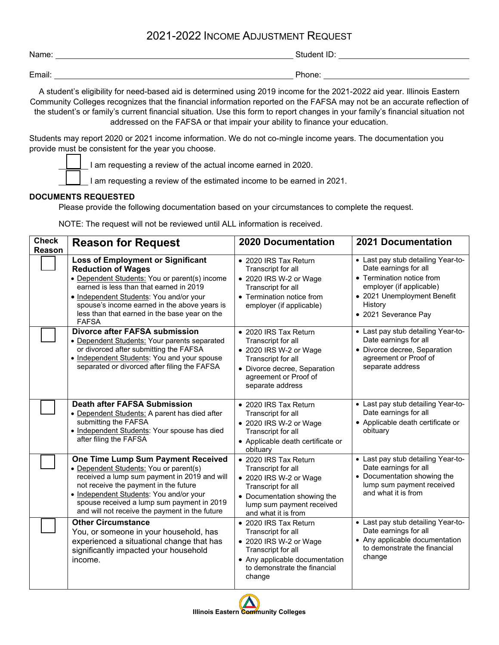## 2021-2022 INCOME ADJUSTMENT REQUEST

| Name:  | Student i<br>. . |
|--------|------------------|
|        |                  |
| Email: | Phone:           |

A student's eligibility for need-based aid is determined using 2019 income for the 2021-2022 aid year. Illinois Eastern Community Colleges recognizes that the financial information reported on the FAFSA may not be an accurate reflection of the student's or family's current financial situation. Use this form to report changes in your family's financial situation not addressed on the FAFSA or that impair your ability to finance your education.

Students may report 2020 or 2021 income information. We do not co-mingle income years. The documentation you provide must be consistent for the year you choose.

I am requesting a review of the actual income earned in 2020.

I am requesting a review of the estimated income to be earned in 2021.

## **DOCUMENTS REQUESTED**

Please provide the following documentation based on your circumstances to complete the request.

NOTE: The request will not be reviewed until ALL information is received.

| <b>Check</b><br>Reason | <b>Reason for Request</b>                                                                                                                                                                                                                                                                                                     | <b>2020 Documentation</b>                                                                                                                                                      | <b>2021 Documentation</b>                                                                                                                                                              |  |
|------------------------|-------------------------------------------------------------------------------------------------------------------------------------------------------------------------------------------------------------------------------------------------------------------------------------------------------------------------------|--------------------------------------------------------------------------------------------------------------------------------------------------------------------------------|----------------------------------------------------------------------------------------------------------------------------------------------------------------------------------------|--|
|                        | <b>Loss of Employment or Significant</b><br><b>Reduction of Wages</b><br>• Dependent Students: You or parent(s) income<br>earned is less than that earned in 2019<br>• Independent Students: You and/or your<br>spouse's income earned in the above years is<br>less than that earned in the base year on the<br><b>FAFSA</b> | • 2020 IRS Tax Return<br>Transcript for all<br>• 2020 IRS W-2 or Wage<br>Transcript for all<br>• Termination notice from<br>employer (if applicable)                           | • Last pay stub detailing Year-to-<br>Date earnings for all<br>• Termination notice from<br>employer (if applicable)<br>• 2021 Unemployment Benefit<br>History<br>• 2021 Severance Pay |  |
|                        | <b>Divorce after FAFSA submission</b><br>• Dependent Students: Your parents separated<br>or divorced after submitting the FAFSA<br>• Independent Students: You and your spouse<br>separated or divorced after filing the FAFSA                                                                                                | • 2020 IRS Tax Return<br>Transcript for all<br>• 2020 IRS W-2 or Wage<br>Transcript for all<br>• Divorce decree, Separation<br>agreement or Proof of<br>separate address       | • Last pay stub detailing Year-to-<br>Date earnings for all<br>• Divorce decree, Separation<br>agreement or Proof of<br>separate address                                               |  |
|                        | <b>Death after FAFSA Submission</b><br>• Dependent Students: A parent has died after<br>submitting the FAFSA<br>• Independent Students: Your spouse has died<br>after filing the FAFSA                                                                                                                                        | • 2020 IRS Tax Return<br>Transcript for all<br>• 2020 IRS W-2 or Wage<br>Transcript for all<br>• Applicable death certificate or<br>obituary                                   | • Last pay stub detailing Year-to-<br>Date earnings for all<br>• Applicable death certificate or<br>obituary                                                                           |  |
|                        | One Time Lump Sum Payment Received<br>• Dependent Students: You or parent(s)<br>received a lump sum payment in 2019 and will<br>not receive the payment in the future<br>• Independent Students: You and/or your<br>spouse received a lump sum payment in 2019<br>and will not receive the payment in the future              | • 2020 IRS Tax Return<br>Transcript for all<br>• 2020 IRS W-2 or Wage<br>Transcript for all<br>• Documentation showing the<br>lump sum payment received<br>and what it is from | • Last pay stub detailing Year-to-<br>Date earnings for all<br>• Documentation showing the<br>lump sum payment received<br>and what it is from                                         |  |
|                        | <b>Other Circumstance</b><br>You, or someone in your household, has<br>experienced a situational change that has<br>significantly impacted your household<br>income.                                                                                                                                                          | • 2020 IRS Tax Return<br>Transcript for all<br>• 2020 IRS W-2 or Wage<br>Transcript for all<br>• Any applicable documentation<br>to demonstrate the financial<br>change        | • Last pay stub detailing Year-to-<br>Date earnings for all<br>• Any applicable documentation<br>to demonstrate the financial<br>change                                                |  |